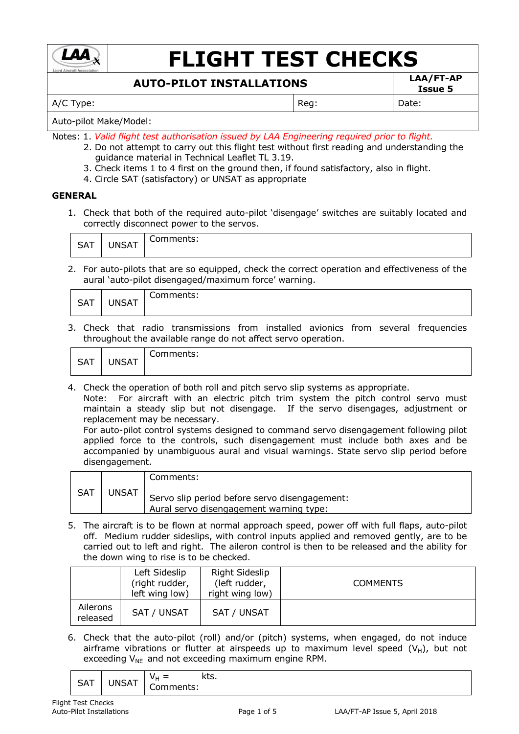

# **FLIGHT TEST CHECKS**

## **AUTO-PILOT INSTALLATIONS LAA/FT-AP**

A/C Type:  $\vert$  Reg:  $\vert$  Date:

**Issue 5**

Auto-pilot Make/Model:

- Notes: 1. *Valid flight test authorisation issued by LAA Engineering required prior to flight.*
	- 2. Do not attempt to carry out this flight test without first reading and understanding the guidance material in Technical Leaflet TL 3.19.
	- 3. Check items 1 to 4 first on the ground then, if found satisfactory, also in flight.
	- 4. Circle SAT (satisfactory) or UNSAT as appropriate

### **GENERAL**

1. Check that both of the required auto-pilot 'disengage' switches are suitably located and correctly disconnect power to the servos.

| $\sim$ $\sim$<br>. הר | $\cdots$<br>$\mathbf{r}$ | CUTTILICITLS. |
|-----------------------|--------------------------|---------------|
|-----------------------|--------------------------|---------------|

2. For auto-pilots that are so equipped, check the correct operation and effectiveness of the aural 'auto-pilot disengaged/maximum force' warning.

| <b>CAT</b><br>SAI | <b>JNSAT</b> | -<br>ำmments.<br>◡◡ |
|-------------------|--------------|---------------------|
|-------------------|--------------|---------------------|

3. Check that radio transmissions from installed avionics from several frequencies throughout the available range do not affect servo operation.

| $\sim$ $\sim$ | <b>JNSAT</b> | -         |
|---------------|--------------|-----------|
| ັບຕໍ່         | - -          | Comments: |

4. Check the operation of both roll and pitch servo slip systems as appropriate.

Note: For aircraft with an electric pitch trim system the pitch control servo must maintain a steady slip but not disengage. If the servo disengages, adjustment or replacement may be necessary.

For auto-pilot control systems designed to command servo disengagement following pilot applied force to the controls, such disengagement must include both axes and be accompanied by unambiguous aural and visual warnings. State servo slip period before disengagement.

|     |       | Comments:                                                                                |
|-----|-------|------------------------------------------------------------------------------------------|
| SAT | JNSAT | Servo slip period before servo disengagement:<br>Aural servo disengagement warning type: |

5. The aircraft is to be flown at normal approach speed, power off with full flaps, auto-pilot off. Medium rudder sideslips, with control inputs applied and removed gently, are to be carried out to left and right. The aileron control is then to be released and the ability for the down wing to rise is to be checked.

|                      | Left Sideslip<br>(right rudder,<br>left wing low) | Right Sideslip<br>(left rudder,<br>right wing low) | <b>COMMENTS</b> |
|----------------------|---------------------------------------------------|----------------------------------------------------|-----------------|
| Ailerons<br>released | SAT / UNSAT                                       | SAT / UNSAT                                        |                 |

6. Check that the auto-pilot (roll) and/or (pitch) systems, when engaged, do not induce airframe vibrations or flutter at airspeeds up to maximum level speed  $(V_H)$ , but not exceeding  $V_{NE}$  and not exceeding maximum engine RPM.

$$
\begin{array}{|c|c|c|c|c|}\n\hline\n\text{SAT} & \text{UNSAT} & \text{V}_{H} = & \text{kts.} \\
\hline\n\text{Comments:} & & & \\
\hline\n\end{array}
$$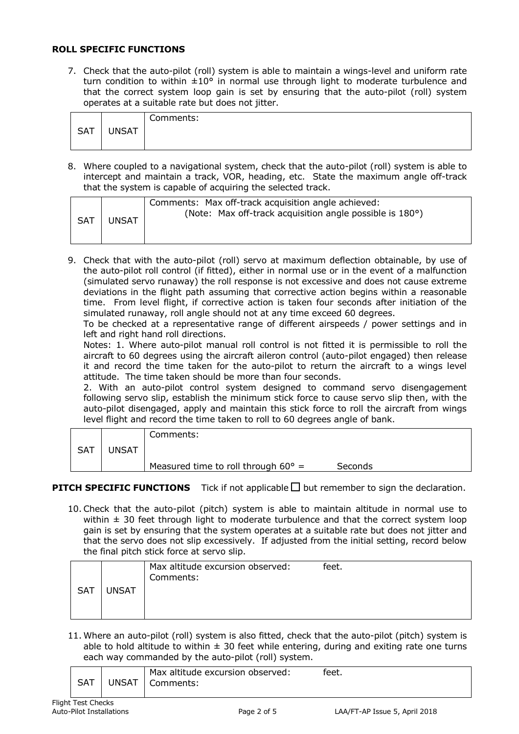#### **ROLL SPECIFIC FUNCTIONS**

7. Check that the auto-pilot (roll) system is able to maintain a wings-level and uniform rate turn condition to within  $\pm 10^{\circ}$  in normal use through light to moderate turbulence and that the correct system loop gain is set by ensuring that the auto-pilot (roll) system operates at a suitable rate but does not jitter.

|            |              | Comments: |
|------------|--------------|-----------|
| <b>SAT</b> | <b>UNSAT</b> |           |
|            |              |           |

8. Where coupled to a navigational system, check that the auto-pilot (roll) system is able to intercept and maintain a track, VOR, heading, etc. State the maximum angle off-track that the system is capable of acquiring the selected track.

| <b>SAT</b> | <b>UNSAT</b> | Comments: Max off-track acquisition angle achieved:<br>(Note: Max off-track acquisition angle possible is 180°) |
|------------|--------------|-----------------------------------------------------------------------------------------------------------------|
|------------|--------------|-----------------------------------------------------------------------------------------------------------------|

9. Check that with the auto-pilot (roll) servo at maximum deflection obtainable, by use of the auto-pilot roll control (if fitted), either in normal use or in the event of a malfunction (simulated servo runaway) the roll response is not excessive and does not cause extreme deviations in the flight path assuming that corrective action begins within a reasonable time. From level flight, if corrective action is taken four seconds after initiation of the simulated runaway, roll angle should not at any time exceed 60 degrees.

To be checked at a representative range of different airspeeds / power settings and in left and right hand roll directions.

Notes: 1. Where auto-pilot manual roll control is not fitted it is permissible to roll the aircraft to 60 degrees using the aircraft aileron control (auto-pilot engaged) then release it and record the time taken for the auto-pilot to return the aircraft to a wings level attitude. The time taken should be more than four seconds.

2. With an auto-pilot control system designed to command servo disengagement following servo slip, establish the minimum stick force to cause servo slip then, with the auto-pilot disengaged, apply and maintain this stick force to roll the aircraft from wings level flight and record the time taken to roll to 60 degrees angle of bank.

|     |              | Comments:                                    |         |
|-----|--------------|----------------------------------------------|---------|
| SAT | <b>UNSAT</b> |                                              |         |
|     |              | Measured time to roll through $60^{\circ}$ = | Seconds |

**PITCH SPECIFIC FUNCTIONS** Tick if not applicable  $\Box$  but remember to sign the declaration.

10. Check that the auto-pilot (pitch) system is able to maintain altitude in normal use to within  $\pm$  30 feet through light to moderate turbulence and that the correct system loop gain is set by ensuring that the system operates at a suitable rate but does not jitter and that the servo does not slip excessively. If adjusted from the initial setting, record below the final pitch stick force at servo slip.

|     |              | Max altitude excursion observed:<br>Comments: | feet. |
|-----|--------------|-----------------------------------------------|-------|
| SAT | <b>UNSAT</b> |                                               |       |
|     |              |                                               |       |
|     |              |                                               |       |

11. Where an auto-pilot (roll) system is also fitted, check that the auto-pilot (pitch) system is able to hold altitude to within  $\pm$  30 feet while entering, during and exiting rate one turns each way commanded by the auto-pilot (roll) system.

| <b>SAT</b> | <b>UNSAT</b> | Max altitude excursion observed:<br>Comments: | feet. |  |  |
|------------|--------------|-----------------------------------------------|-------|--|--|
|------------|--------------|-----------------------------------------------|-------|--|--|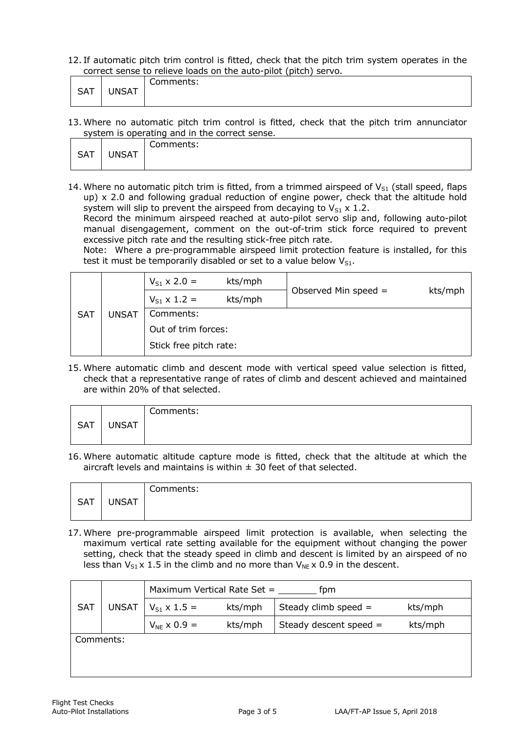12. If automatic pitch trim control is fitted, check that the pitch trim system operates in the correct sense to relieve loads on the auto-pilot (pitch) servo.

| CAT  | INICAT       | ∽         |
|------|--------------|-----------|
| 5A I | <b>INSAT</b> | Comments: |

13. Where no automatic pitch trim control is fitted, check that the pitch trim annunciator system is operating and in the correct sense.

|            |              | Comments: |
|------------|--------------|-----------|
| <b>SAT</b> | <b>UNSAT</b> |           |
|            |              |           |

14. Where no automatic pitch trim is fitted, from a trimmed airspeed of  $V_{S1}$  (stall speed, flaps up)  $\times$  2.0 and following gradual reduction of engine power, check that the altitude hold system will slip to prevent the airspeed from decaying to  $V_{S1} \times 1.2$ .

Record the minimum airspeed reached at auto-pilot servo slip and, following auto-pilot manual disengagement, comment on the out-of-trim stick force required to prevent excessive pitch rate and the resulting stick-free pitch rate.

Note: Where a pre-programmable airspeed limit protection feature is installed, for this test it must be temporarily disabled or set to a value below  $V_{S1}$ .

| <b>SAT</b> |              | $V_{S1}$ x 2.0 =       | kts/mph |                        |         |
|------------|--------------|------------------------|---------|------------------------|---------|
|            |              | $V_{S1}$ x 1.2 =       | kts/mph | Observed Min speed $=$ | kts/mph |
|            | <b>UNSAT</b> | Comments:              |         |                        |         |
|            |              | Out of trim forces:    |         |                        |         |
|            |              | Stick free pitch rate: |         |                        |         |

15. Where automatic climb and descent mode with vertical speed value selection is fitted, check that a representative range of rates of climb and descent achieved and maintained are within 20% of that selected.

|            |              | Comments: |
|------------|--------------|-----------|
| <b>SAT</b> | <b>UNSAT</b> |           |
|            |              |           |

16. Where automatic altitude capture mode is fitted, check that the altitude at which the aircraft levels and maintains is within  $\pm$  30 feet of that selected.

|            |              | Comments: |
|------------|--------------|-----------|
| <b>SAT</b> | <b>UNSAT</b> |           |
|            |              |           |

17. Where pre-programmable airspeed limit protection is available, when selecting the maximum vertical rate setting available for the equipment without changing the power setting, check that the steady speed in climb and descent is limited by an airspeed of no less than  $V_{S1} \times 1.5$  in the climb and no more than  $V_{NE} \times 0.9$  in the descent.

|              | Maximum Vertical Rate Set =<br>fpm |         |                          |         |
|--------------|------------------------------------|---------|--------------------------|---------|
| <b>UNSAT</b> | $V_{S1}$ x 1.5 =                   | kts/mph | Steady climb speed $=$   | kts/mph |
|              | $V_{NE}$ x 0.9 =                   | kts/mph | Steady descent speed $=$ | kts/mph |
| Comments:    |                                    |         |                          |         |
|              |                                    |         |                          |         |
|              |                                    |         |                          |         |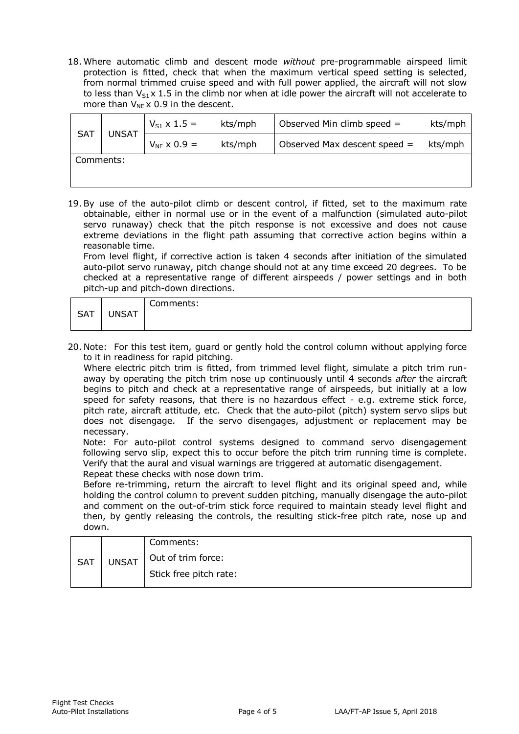18. Where automatic climb and descent mode *without* pre-programmable airspeed limit protection is fitted, check that when the maximum vertical speed setting is selected, from normal trimmed cruise speed and with full power applied, the aircraft will not slow to less than  $V_{51}$  x 1.5 in the climb nor when at idle power the aircraft will not accelerate to more than  $V_{NE} \times 0.9$  in the descent.

| <b>SAT</b> | <b>UNSAT</b> | $V_{S1} \times 1.5 =$ | kts/mph | Observed Min climb speed =     | kts/mph |
|------------|--------------|-----------------------|---------|--------------------------------|---------|
|            |              | $V_{NE}$ x 0.9 =      | kts/mph | Observed Max descent speed $=$ | kts/mph |
| Comments:  |              |                       |         |                                |         |
|            |              |                       |         |                                |         |

19. By use of the auto-pilot climb or descent control, if fitted, set to the maximum rate obtainable, either in normal use or in the event of a malfunction (simulated auto-pilot servo runaway) check that the pitch response is not excessive and does not cause extreme deviations in the flight path assuming that corrective action begins within a reasonable time.

From level flight, if corrective action is taken 4 seconds after initiation of the simulated auto-pilot servo runaway, pitch change should not at any time exceed 20 degrees. To be checked at a representative range of different airspeeds / power settings and in both pitch-up and pitch-down directions.

|            |              | Comments: |
|------------|--------------|-----------|
| <b>SAT</b> | <b>JNSAT</b> |           |
|            |              |           |

20. Note: For this test item, guard or gently hold the control column without applying force to it in readiness for rapid pitching.

Where electric pitch trim is fitted, from trimmed level flight, simulate a pitch trim runaway by operating the pitch trim nose up continuously until 4 seconds *after* the aircraft begins to pitch and check at a representative range of airspeeds, but initially at a low speed for safety reasons, that there is no hazardous effect - e.g. extreme stick force, pitch rate, aircraft attitude, etc. Check that the auto-pilot (pitch) system servo slips but does not disengage. If the servo disengages, adjustment or replacement may be necessary.

Note: For auto-pilot control systems designed to command servo disengagement following servo slip, expect this to occur before the pitch trim running time is complete. Verify that the aural and visual warnings are triggered at automatic disengagement. Repeat these checks with nose down trim.

Before re-trimming, return the aircraft to level flight and its original speed and, while holding the control column to prevent sudden pitching, manually disengage the auto-pilot and comment on the out-of-trim stick force required to maintain steady level flight and then, by gently releasing the controls, the resulting stick-free pitch rate, nose up and down.

| Comments:              |
|------------------------|
| Out of trim force:     |
| Stick free pitch rate: |
| <b>UNSAT</b>           |